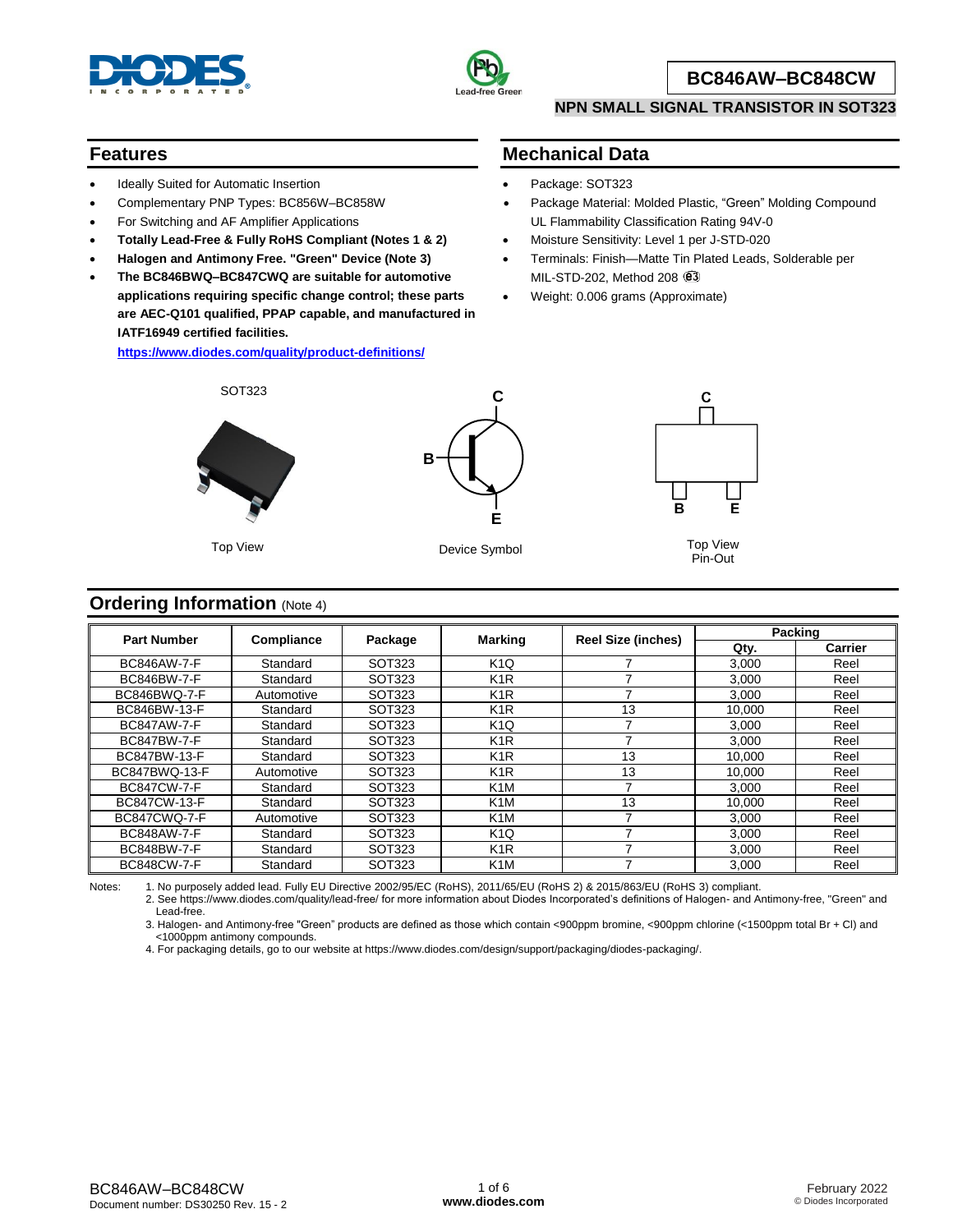



#### **BC846AW–BC848CW**

#### **NPN SMALL SIGNAL TRANSISTOR IN SOT323**

#### **Features**

- Ideally Suited for Automatic Insertion
- Complementary PNP Types: BC856W–BC858W
- For Switching and AF Amplifier Applications
- **Totally Lead-Free & Fully RoHS Compliant (Notes 1 & 2)**
- **Halogen and Antimony Free. "Green" Device (Note 3)**
- **The BC846BWQ–BC847CWQ are suitable for automotive applications requiring specific change control; these parts are AEC-Q101 qualified, PPAP capable, and manufactured in IATF16949 certified facilities.**

**<https://www.diodes.com/quality/product-definitions/>**

### **Mechanical Data**

- Package: SOT323
- Package Material: Molded Plastic, "Green" Molding Compound UL Flammability Classification Rating 94V-0
- Moisture Sensitivity: Level 1 per J-STD-020
- Terminals: Finish—Matte Tin Plated Leads, Solderable per MIL-STD-202, Method 208  $@3$
- Weight: 0.006 grams (Approximate)



SOT323

Top View



Device Symbol Top View



Pin-Out

#### **Ordering Information** (Note 4)

| <b>Part Number</b> |            |         |                  |                           | <b>Packing</b> |                |  |
|--------------------|------------|---------|------------------|---------------------------|----------------|----------------|--|
|                    | Compliance | Package | <b>Marking</b>   | <b>Reel Size (inches)</b> | Qty.           | <b>Carrier</b> |  |
| <b>BC846AW-7-F</b> | Standard   | SOT323  | K <sub>1</sub> Q |                           | 3,000          | Reel           |  |
| BC846BW-7-F        | Standard   | SOT323  | K <sub>1</sub> R |                           | 3,000          | Reel           |  |
| BC846BWQ-7-F       | Automotive | SOT323  | K <sub>1</sub> R |                           | 3.000          | Reel           |  |
| BC846BW-13-F       | Standard   | SOT323  | K <sub>1</sub> R | 13                        | 10.000         | Reel           |  |
| <b>BC847AW-7-F</b> | Standard   | SOT323  | K <sub>1</sub> Q |                           | 3,000          | Reel           |  |
| <b>BC847BW-7-F</b> | Standard   | SOT323  | K <sub>1</sub> R |                           | 3.000          | Reel           |  |
| BC847BW-13-F       | Standard   | SOT323  | K <sub>1</sub> R | 13                        | 10.000         | Reel           |  |
| BC847BWQ-13-F      | Automotive | SOT323  | K <sub>1</sub> R | 13                        | 10.000         | Reel           |  |
| <b>BC847CW-7-F</b> | Standard   | SOT323  | K <sub>1</sub> M |                           | 3,000          | Reel           |  |
| BC847CW-13-F       | Standard   | SOT323  | K <sub>1</sub> M | 13                        | 10.000         | Reel           |  |
| BC847CWQ-7-F       | Automotive | SOT323  | K <sub>1</sub> M |                           | 3.000          | Reel           |  |
| <b>BC848AW-7-F</b> | Standard   | SOT323  | K <sub>1</sub> Q |                           | 3,000          | Reel           |  |
| BC848BW-7-F        | Standard   | SOT323  | K <sub>1</sub> R |                           | 3,000          | Reel           |  |
| <b>BC848CW-7-F</b> | Standard   | SOT323  | K <sub>1</sub> M |                           | 3.000          | Reel           |  |

Notes: 1. No purposely added lead. Fully EU Directive 2002/95/EC (RoHS), 2011/65/EU (RoHS 2) & 2015/863/EU (RoHS 3) compliant.

2. See https://www.diodes.com/quality/lead-free/ for more information about Diodes Incorporated's definitions of Halogen- and Antimony-free, "Green" and Lead-free.

3. Halogen- and Antimony-free "Green" products are defined as those which contain <900ppm bromine, <900ppm chlorine (<1500ppm total Br + Cl) and <1000ppm antimony compounds.

4. For packaging details, go to our website at https://www.diodes.com/design/support/packaging/diodes-packaging/.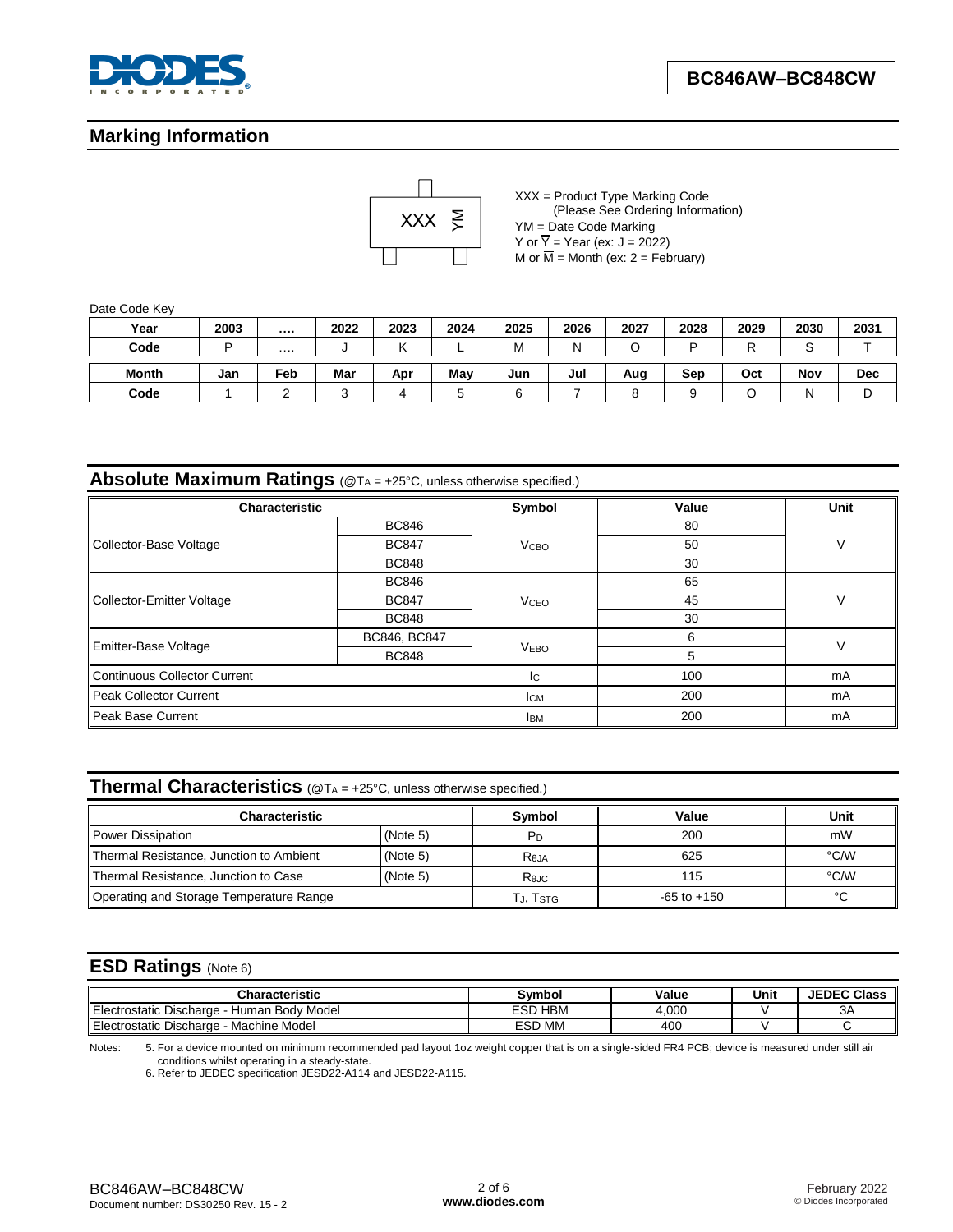

### **Marking Information**



XXX = Product Type Marking Code (Please See Ordering Information) YM = Date Code Marking Y or  $\overline{Y}$  = Year (ex: J = 2022) M or  $\overline{M}$  = Month (ex: 2 = February)

Date Code Key

| Year         | 2003 |     | 2022                     | 2023 | 2024 | 2025 | 2026 | 2027 | 2028 | 2029 | 2030 | 2031       |
|--------------|------|-----|--------------------------|------|------|------|------|------|------|------|------|------------|
| Code         |      | .   | $\overline{\phantom{a}}$ |      | -    | M    | Ν    |      |      |      | ╰    |            |
| <b>Month</b> | Jan  | Feb | Mar                      | Apr  | May  | Jun  | Jul  | Aug  | Sep  | Oct  | Nov  | <b>Dec</b> |
| Code         |      |     |                          |      |      |      |      |      |      |      |      | ັ          |

**Absolute Maximum Ratings** (@T<sup>A</sup> = +25°C, unless otherwise specified.)

| <b>Characteristic</b>               |              | Symbol                 | Value | Unit |  |
|-------------------------------------|--------------|------------------------|-------|------|--|
|                                     | <b>BC846</b> |                        | 80    |      |  |
| Collector-Base Voltage              | <b>BC847</b> | <b>V</b> сво           | 50    | V    |  |
|                                     | <b>BC848</b> |                        | 30    |      |  |
|                                     | <b>BC846</b> |                        | 65    |      |  |
| Collector-Emitter Voltage           | <b>BC847</b> | <b>V<sub>CEO</sub></b> | 45    | V    |  |
|                                     | <b>BC848</b> |                        | 30    |      |  |
| Emitter-Base Voltage                | BC846, BC847 |                        | 6     | V    |  |
|                                     | <b>BC848</b> | <b>VEBO</b>            | 5     |      |  |
| <b>Continuous Collector Current</b> |              | lc.                    | 100   | mA   |  |
| Peak Collector Current              |              | Ісм                    | 200   | mA   |  |
| <b>Peak Base Current</b>            |              | <b>IBM</b>             | 200   | mA   |  |

## **Thermal Characteristics** (@T<sup>A</sup> = +25°C, unless otherwise specified.)

| <b>Characteristic</b>                   |          | <b>Symbol</b>   | Value | Unit |
|-----------------------------------------|----------|-----------------|-------|------|
| <b>Power Dissipation</b>                | (Note 5) | Pn              | 200   | mW   |
| Thermal Resistance, Junction to Ambient | (Note 5) | Reja            | 625   | °C/W |
| Thermal Resistance, Junction to Case    | (Note 5) | $R_{0JC}$       | 115   | °C/W |
| Operating and Storage Temperature Range | Tj. Tstg | $-65$ to $+150$ | °C    |      |

#### **ESD Ratings** (Note 6)

| Characteristic                                               | Svmbo.                     | Value | Unit | <b>JEDEC Class</b> |
|--------------------------------------------------------------|----------------------------|-------|------|--------------------|
| Elect<br>v Model<br>-Body<br>Discharge<br>'ostatıc<br>Human  | <b>HBM</b><br>$-0n$<br>⊏จเ | 4.000 |      | ∼<br>3Α            |
| Electrostatic<br>$\sim$<br><b>Machine Model</b><br>Discharge | <b>MM</b><br>ESD           | 400   |      |                    |

Notes: 5. For a device mounted on minimum recommended pad layout 1oz weight copper that is on a single-sided FR4 PCB; device is measured under still air conditions whilst operating in a steady-state.

6. Refer to JEDEC specification JESD22-A114 and JESD22-A115.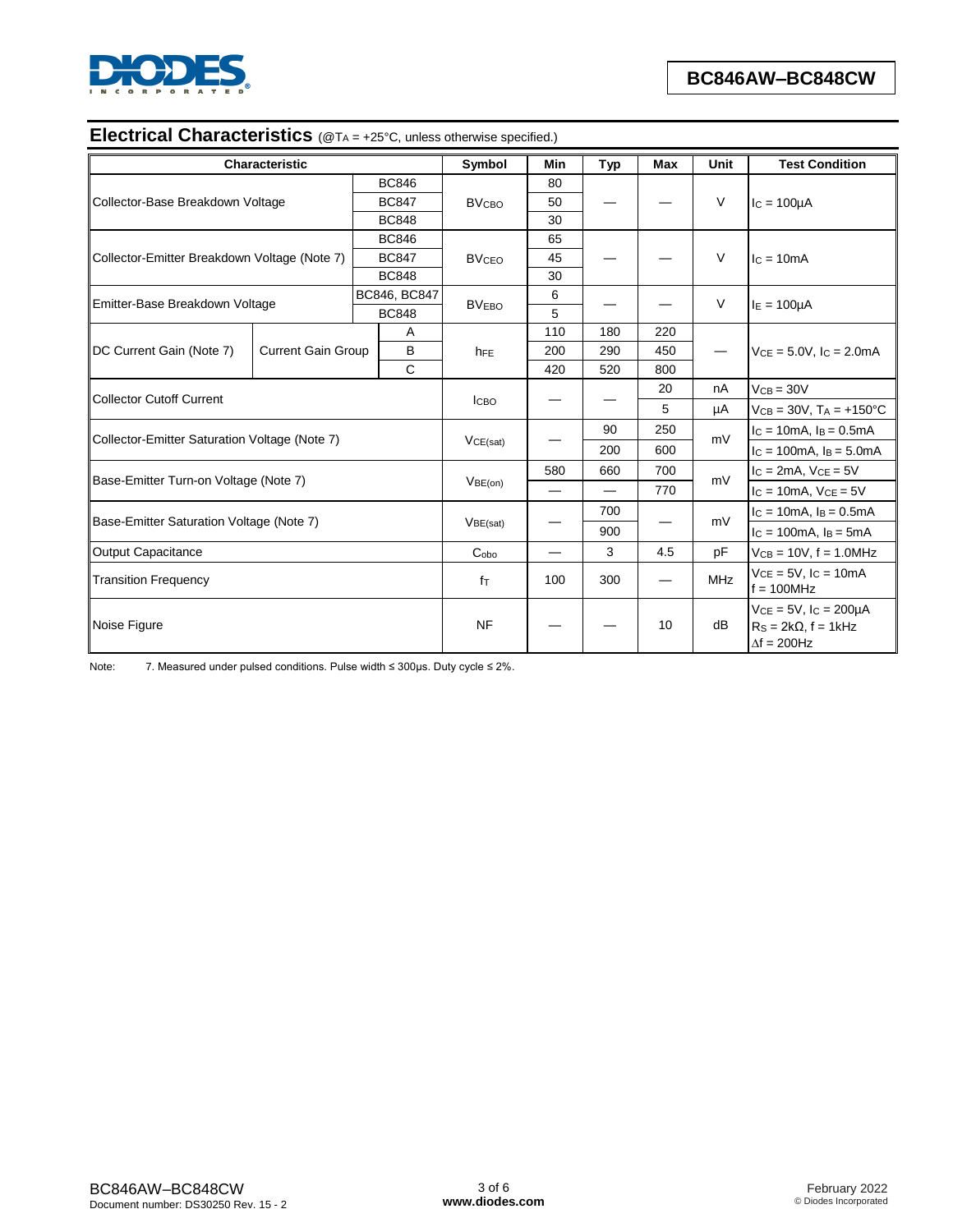

# **Electrical Characteristics** (@TA = +25°C, unless otherwise specified.)

|                                               | <b>Characteristic</b>     |              | Symbol                  | Min | Typ                      | <b>Max</b> | Unit       | <b>Test Condition</b>                                                             |  |
|-----------------------------------------------|---------------------------|--------------|-------------------------|-----|--------------------------|------------|------------|-----------------------------------------------------------------------------------|--|
|                                               |                           | <b>BC846</b> |                         | 80  |                          |            |            |                                                                                   |  |
| Collector-Base Breakdown Voltage              |                           | <b>BC847</b> | <b>BV<sub>CBO</sub></b> | 50  |                          |            | $\vee$     | $IC = 100µA$                                                                      |  |
|                                               |                           | <b>BC848</b> |                         | 30  |                          |            |            |                                                                                   |  |
|                                               |                           | <b>BC846</b> |                         | 65  |                          |            |            |                                                                                   |  |
| Collector-Emitter Breakdown Voltage (Note 7)  |                           | <b>BC847</b> | <b>BVCEO</b>            | 45  |                          |            | $\vee$     | $lc = 10mA$                                                                       |  |
|                                               |                           | <b>BC848</b> |                         | 30  |                          |            |            |                                                                                   |  |
| Emitter-Base Breakdown Voltage                |                           | BC846, BC847 | <b>BVEBO</b>            | 6   |                          |            | $\vee$     |                                                                                   |  |
|                                               |                           | <b>BC848</b> |                         | 5   |                          |            |            | $I_E = 100 \mu A$                                                                 |  |
|                                               |                           | A            |                         | 110 | 180                      | 220        |            |                                                                                   |  |
| DC Current Gain (Note 7)                      | <b>Current Gain Group</b> | B            | h <sub>FE</sub>         | 200 | 290                      | 450        | —          | $V_{CE} = 5.0V$ , $I_C = 2.0mA$                                                   |  |
|                                               |                           | $\mathsf{C}$ |                         | 420 | 520                      | 800        |            |                                                                                   |  |
|                                               |                           |              | <b>ICBO</b>             |     |                          | 20         | nA         | $VCB = 30V$                                                                       |  |
| <b>Collector Cutoff Current</b>               |                           |              |                         |     |                          | 5          | μA         | $VCB = 30V$ , $TA = +150^{\circ}C$                                                |  |
|                                               |                           |              | VCE(sat)                |     | 90                       | 250        | mV         | $I_C = 10mA$ , $I_B = 0.5mA$                                                      |  |
| Collector-Emitter Saturation Voltage (Note 7) |                           |              |                         |     | 200                      | 600        |            | $IC = 100mA$ , $IB = 5.0mA$                                                       |  |
|                                               |                           |              | VBE(on)                 | 580 | 660                      | 700        | mV         | $lc = 2mA$ , $Vce = 5V$                                                           |  |
| Base-Emitter Turn-on Voltage (Note 7)         |                           |              |                         |     | $\overline{\phantom{0}}$ | 770        |            | $I_c = 10mA$ , $V_{CE} = 5V$                                                      |  |
|                                               |                           |              |                         |     | 700                      |            | mV         | $I_C = 10mA$ , $I_B = 0.5mA$                                                      |  |
| Base-Emitter Saturation Voltage (Note 7)      |                           |              | VBE(sat)                |     | 900                      |            |            | $I_c = 100mA$ , $I_B = 5mA$                                                       |  |
| <b>Output Capacitance</b>                     |                           |              | C <sub>oho</sub>        |     | 3                        | 4.5        | pF         | $VCB = 10V, f = 1.0MHz$                                                           |  |
| <b>Transition Frequency</b>                   |                           |              | fτ                      | 100 | 300                      |            | <b>MHz</b> | $VCE = 5V$ , $lc = 10mA$<br>$f = 100$ MHz                                         |  |
| Noise Figure                                  |                           |              | <b>NF</b>               |     |                          | 10         | dB         | $VCE = 5V$ , $IC = 200\mu A$<br>$RS = 2k\Omega$ , f = 1kHz<br>$\Delta f = 200$ Hz |  |

Note: 7. Measured under pulsed conditions. Pulse width ≤ 300µs. Duty cycle ≤ 2%.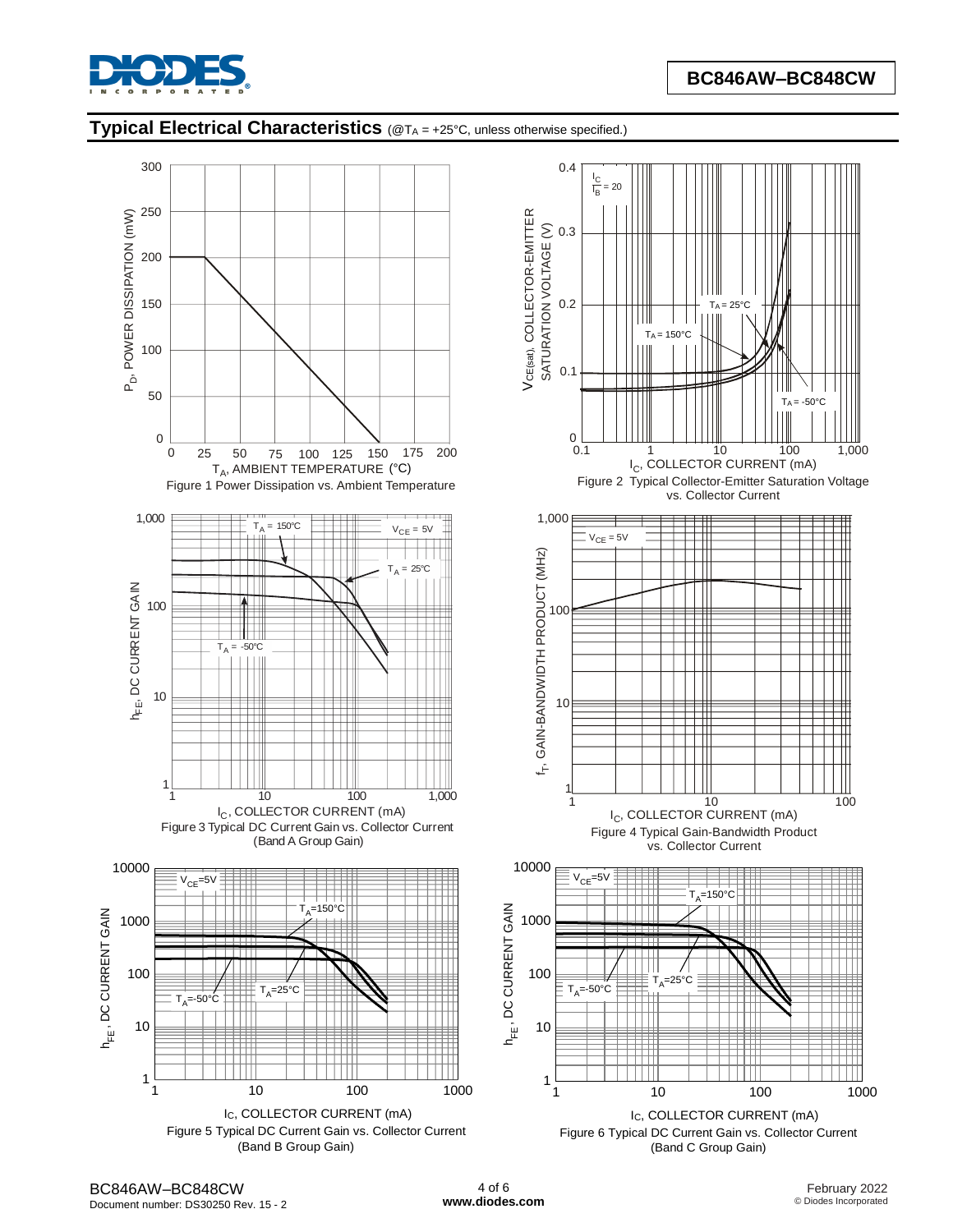

## **Typical Electrical Characteristics** (@T<sup>A</sup> = +25°C, unless otherwise specified.)

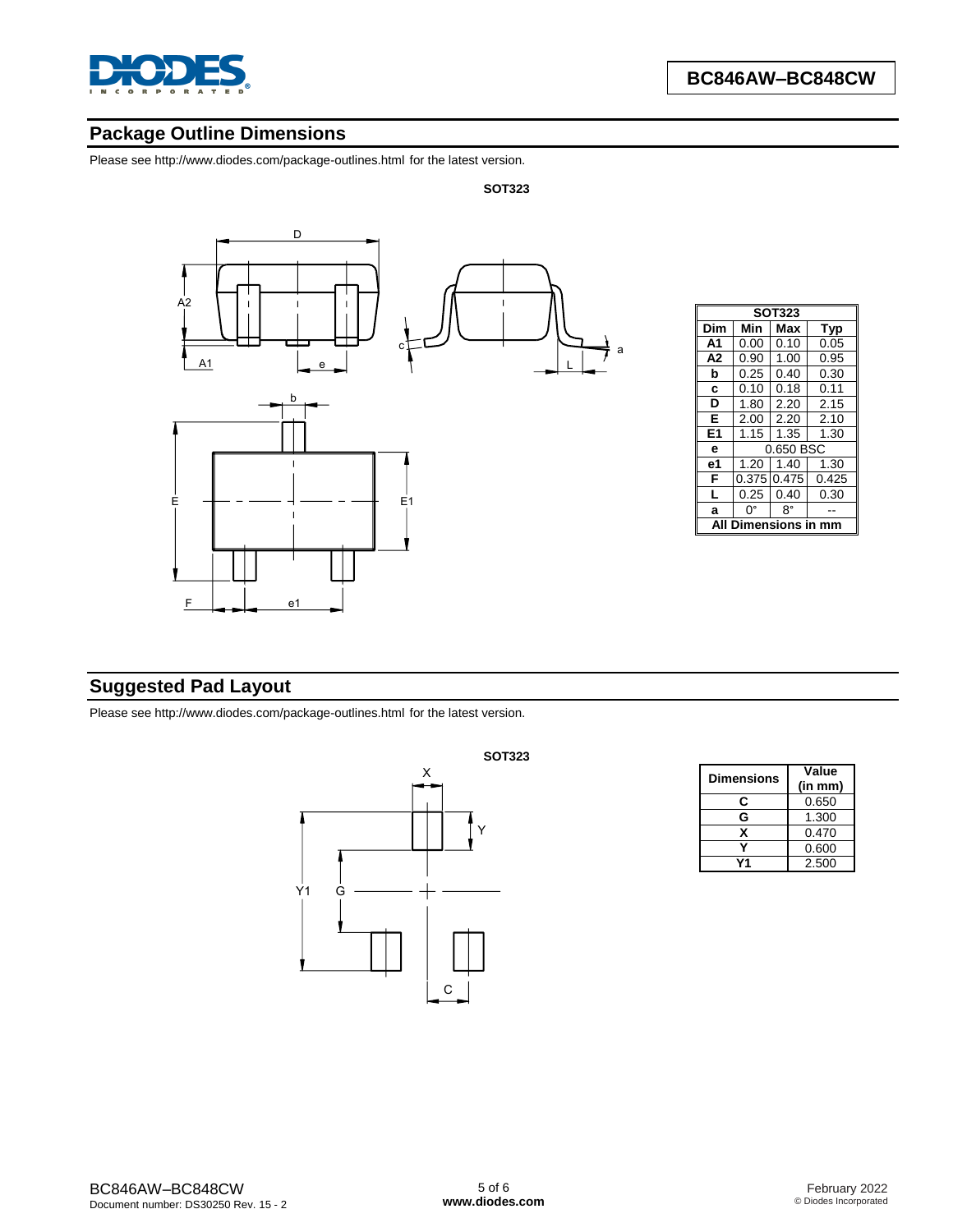

## **Package Outline Dimensions**

Please se[e http://www.diodes.com/package-outlines.html](http://www.diodes.com/package-outlines.html) for the latest version.

#### **SOT323**



| <b>SOT323</b>  |             |            |       |  |  |  |  |  |
|----------------|-------------|------------|-------|--|--|--|--|--|
| Dim            | Min         | Max<br>Typ |       |  |  |  |  |  |
| A <sub>1</sub> | 0.00        | 0.10       | 0.05  |  |  |  |  |  |
| A2             | 0.90        | 1.00       | 0.95  |  |  |  |  |  |
| b              | 0.25        | 0.40       | 0.30  |  |  |  |  |  |
| C              | 0.10        | 0.18       | 0.11  |  |  |  |  |  |
| D              | 1.80        | 2.20       | 2.15  |  |  |  |  |  |
| Е              | 2.00        | 2.20       | 2.10  |  |  |  |  |  |
| E1             | 1.15        | 1.35       | 1.30  |  |  |  |  |  |
| е              | 0.650 BSC   |            |       |  |  |  |  |  |
| е1             | 1.20        | 1.40       | 1.30  |  |  |  |  |  |
| F              | 0.375 0.475 |            | 0.425 |  |  |  |  |  |
| L              | 0.25        | 0.40       | 0.30  |  |  |  |  |  |
| a              | n۰          | R۰         |       |  |  |  |  |  |
| ISIOI<br>ıs    |             |            |       |  |  |  |  |  |

## **Suggested Pad Layout**

Please se[e http://www.diodes.com/package-outlines.html](http://www.diodes.com/package-outlines.html) for the latest version.



| <b>Dimensions</b> | Value<br>(in mm) |
|-------------------|------------------|
| C                 | 0.650            |
| G                 | 1.300            |
| x                 | 0.470            |
|                   | 0.600            |
|                   | 2.500            |